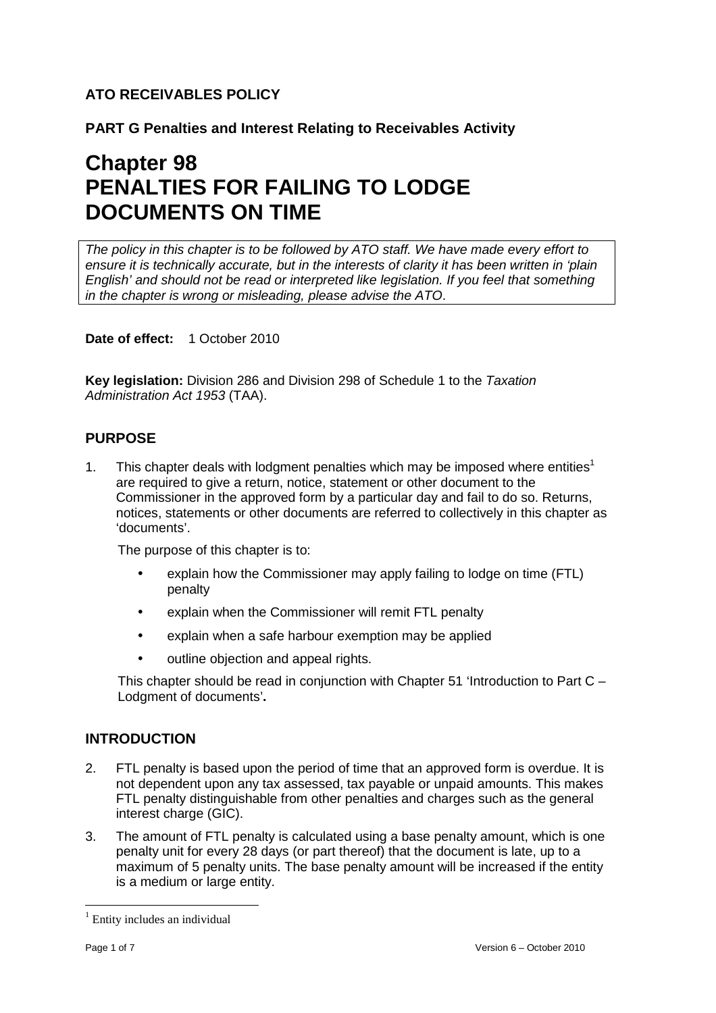# **ATO RECEIVABLES POLICY**

**PART G Penalties and Interest Relating to Receivables Activity** 

# **Chapter 98 PENALTIES FOR FAILING TO LODGE DOCUMENTS ON TIME**

The policy in this chapter is to be followed by ATO staff. We have made every effort to ensure it is technically accurate, but in the interests of clarity it has been written in 'plain English' and should not be read or interpreted like legislation. If you feel that something in the chapter is wrong or misleading, please advise the ATO.

**Date of effect:** 1 October 2010

**Key legislation:** Division 286 and Division 298 of Schedule 1 to the Taxation Administration Act 1953 (TAA).

## **PURPOSE**

1. This chapter deals with lodgment penalties which may be imposed where entities<sup>1</sup> are required to give a return, notice, statement or other document to the Commissioner in the approved form by a particular day and fail to do so. Returns, notices, statements or other documents are referred to collectively in this chapter as 'documents'.

The purpose of this chapter is to:

- explain how the Commissioner may apply failing to lodge on time (FTL) penalty
- explain when the Commissioner will remit FTL penalty
- explain when a safe harbour exemption may be applied
- outline objection and appeal rights.

This chapter should be read in conjunction with Chapter 51 'Introduction to Part C – Lodgment of documents'**.** 

## **INTRODUCTION**

- 2. FTL penalty is based upon the period of time that an approved form is overdue. It is not dependent upon any tax assessed, tax payable or unpaid amounts. This makes FTL penalty distinguishable from other penalties and charges such as the general interest charge (GIC).
- 3. The amount of FTL penalty is calculated using a base penalty amount, which is one penalty unit for every 28 days (or part thereof) that the document is late, up to a maximum of 5 penalty units. The base penalty amount will be increased if the entity is a medium or large entity.

 $\overline{a}$ <sup>1</sup> Entity includes an individual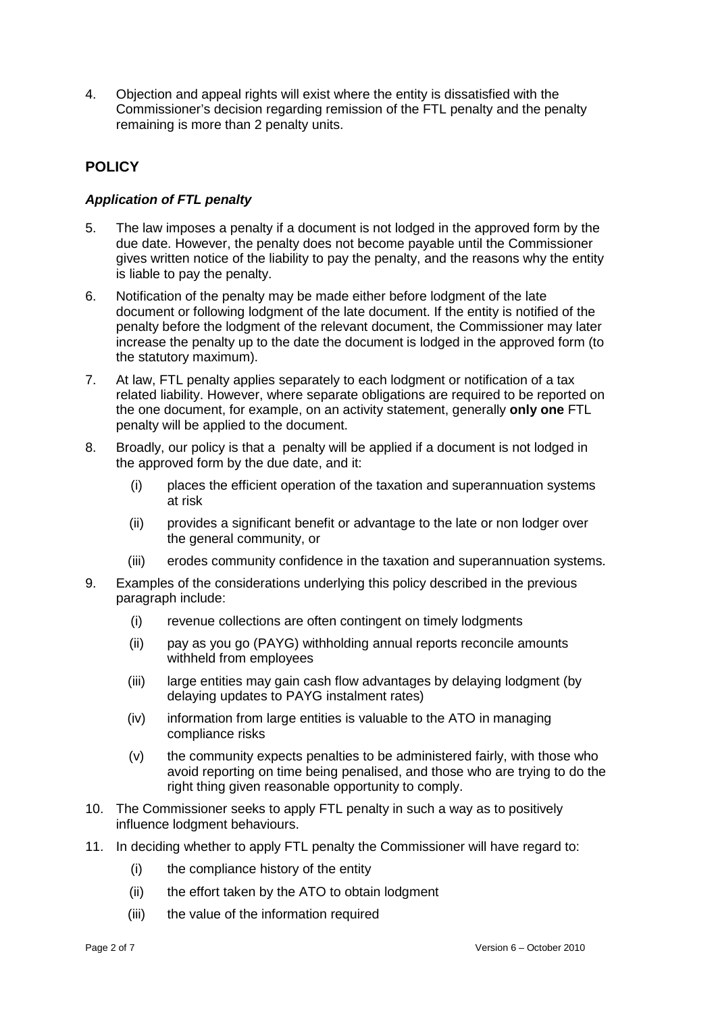4. Objection and appeal rights will exist where the entity is dissatisfied with the Commissioner's decision regarding remission of the FTL penalty and the penalty remaining is more than 2 penalty units.

## **POLICY**

## **Application of FTL penalty**

- 5. The law imposes a penalty if a document is not lodged in the approved form by the due date. However, the penalty does not become payable until the Commissioner gives written notice of the liability to pay the penalty, and the reasons why the entity is liable to pay the penalty.
- 6. Notification of the penalty may be made either before lodgment of the late document or following lodgment of the late document. If the entity is notified of the penalty before the lodgment of the relevant document, the Commissioner may later increase the penalty up to the date the document is lodged in the approved form (to the statutory maximum).
- 7. At law, FTL penalty applies separately to each lodgment or notification of a tax related liability. However, where separate obligations are required to be reported on the one document, for example, on an activity statement, generally **only one** FTL penalty will be applied to the document.
- 8. Broadly, our policy is that a penalty will be applied if a document is not lodged in the approved form by the due date, and it:
	- (i) places the efficient operation of the taxation and superannuation systems at risk
	- (ii) provides a significant benefit or advantage to the late or non lodger over the general community, or
	- (iii) erodes community confidence in the taxation and superannuation systems.
- 9. Examples of the considerations underlying this policy described in the previous paragraph include:
	- (i) revenue collections are often contingent on timely lodgments
	- (ii) pay as you go (PAYG) withholding annual reports reconcile amounts withheld from employees
	- (iii) large entities may gain cash flow advantages by delaying lodgment (by delaying updates to PAYG instalment rates)
	- (iv) information from large entities is valuable to the ATO in managing compliance risks
	- (v) the community expects penalties to be administered fairly, with those who avoid reporting on time being penalised, and those who are trying to do the right thing given reasonable opportunity to comply.
- 10. The Commissioner seeks to apply FTL penalty in such a way as to positively influence lodgment behaviours.
- 11. In deciding whether to apply FTL penalty the Commissioner will have regard to:
	- (i) the compliance history of the entity
	- (ii) the effort taken by the ATO to obtain lodgment
	- (iii) the value of the information required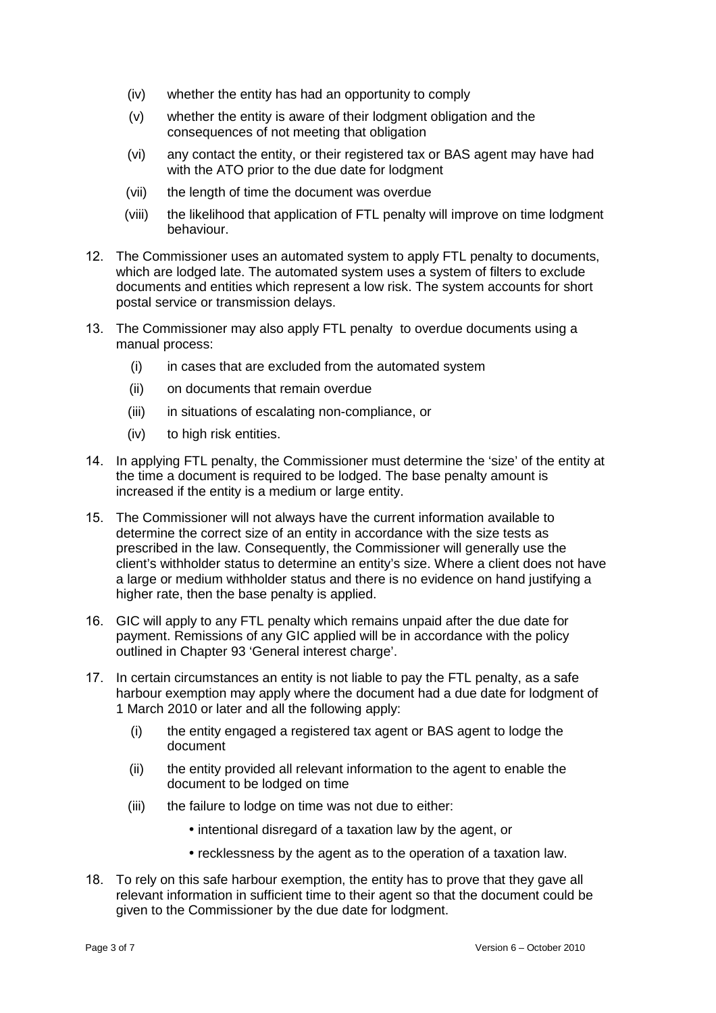- (iv) whether the entity has had an opportunity to comply
- (v) whether the entity is aware of their lodgment obligation and the consequences of not meeting that obligation
- (vi) any contact the entity, or their registered tax or BAS agent may have had with the ATO prior to the due date for lodgment
- (vii) the length of time the document was overdue
- (viii) the likelihood that application of FTL penalty will improve on time lodgment behaviour.
- 12. The Commissioner uses an automated system to apply FTL penalty to documents, which are lodged late. The automated system uses a system of filters to exclude documents and entities which represent a low risk. The system accounts for short postal service or transmission delays.
- 13. The Commissioner may also apply FTL penalty to overdue documents using a manual process:
	- (i) in cases that are excluded from the automated system
	- (ii) on documents that remain overdue
	- (iii) in situations of escalating non-compliance, or
	- (iv) to high risk entities.
- 14. In applying FTL penalty, the Commissioner must determine the 'size' of the entity at the time a document is required to be lodged. The base penalty amount is increased if the entity is a medium or large entity.
- 15. The Commissioner will not always have the current information available to determine the correct size of an entity in accordance with the size tests as prescribed in the law. Consequently, the Commissioner will generally use the client's withholder status to determine an entity's size. Where a client does not have a large or medium withholder status and there is no evidence on hand justifying a higher rate, then the base penalty is applied.
- 16. GIC will apply to any FTL penalty which remains unpaid after the due date for payment. Remissions of any GIC applied will be in accordance with the policy outlined in Chapter 93 'General interest charge'.
- 17. In certain circumstances an entity is not liable to pay the FTL penalty, as a safe harbour exemption may apply where the document had a due date for lodgment of 1 March 2010 or later and all the following apply:
	- (i) the entity engaged a registered tax agent or BAS agent to lodge the document
	- (ii) the entity provided all relevant information to the agent to enable the document to be lodged on time
	- (iii) the failure to lodge on time was not due to either:
		- intentional disregard of a taxation law by the agent, or
		- recklessness by the agent as to the operation of a taxation law.
- 18. To rely on this safe harbour exemption, the entity has to prove that they gave all relevant information in sufficient time to their agent so that the document could be given to the Commissioner by the due date for lodgment.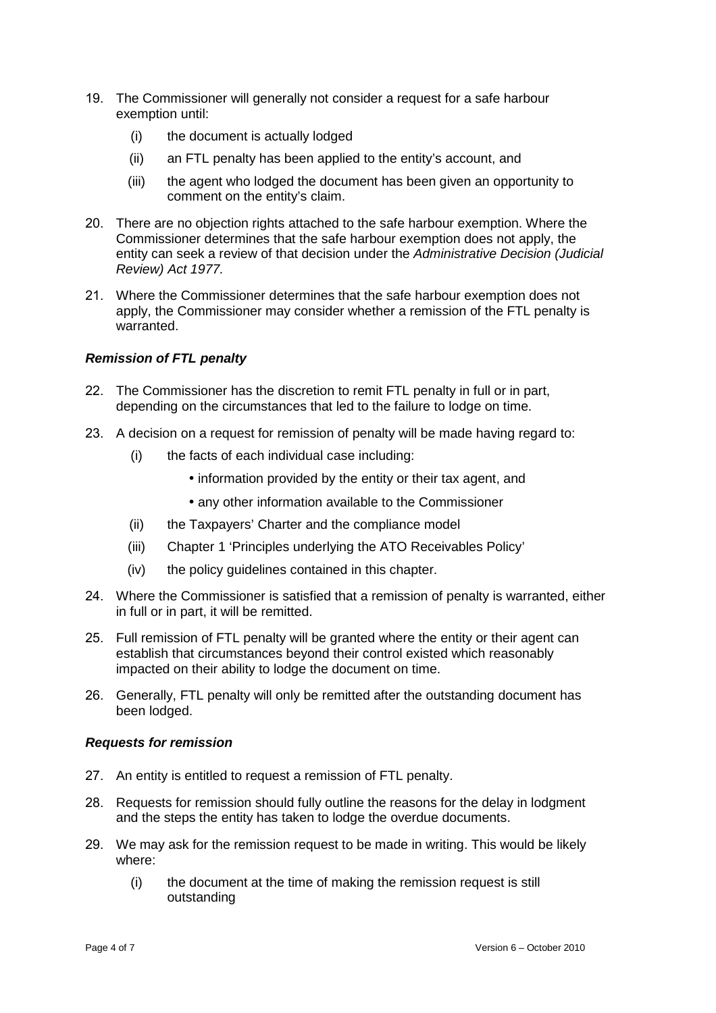- 19. The Commissioner will generally not consider a request for a safe harbour exemption until:
	- (i) the document is actually lodged
	- (ii) an FTL penalty has been applied to the entity's account, and
	- (iii) the agent who lodged the document has been given an opportunity to comment on the entity's claim.
- 20. There are no objection rights attached to the safe harbour exemption. Where the Commissioner determines that the safe harbour exemption does not apply, the entity can seek a review of that decision under the Administrative Decision (Judicial Review) Act 1977.
- 21. Where the Commissioner determines that the safe harbour exemption does not apply, the Commissioner may consider whether a remission of the FTL penalty is warranted.

#### **Remission of FTL penalty**

- 22. The Commissioner has the discretion to remit FTL penalty in full or in part, depending on the circumstances that led to the failure to lodge on time.
- 23. A decision on a request for remission of penalty will be made having regard to:
	- (i) the facts of each individual case including:
		- information provided by the entity or their tax agent, and
		- any other information available to the Commissioner
	- (ii) the Taxpayers' Charter and the compliance model
	- (iii) Chapter 1 'Principles underlying the ATO Receivables Policy'
	- (iv) the policy guidelines contained in this chapter.
- 24. Where the Commissioner is satisfied that a remission of penalty is warranted, either in full or in part, it will be remitted.
- 25. Full remission of FTL penalty will be granted where the entity or their agent can establish that circumstances beyond their control existed which reasonably impacted on their ability to lodge the document on time.
- 26. Generally, FTL penalty will only be remitted after the outstanding document has been lodged.

#### **Requests for remission**

- 27. An entity is entitled to request a remission of FTL penalty.
- 28. Requests for remission should fully outline the reasons for the delay in lodgment and the steps the entity has taken to lodge the overdue documents.
- 29. We may ask for the remission request to be made in writing. This would be likely where:
	- (i) the document at the time of making the remission request is still outstanding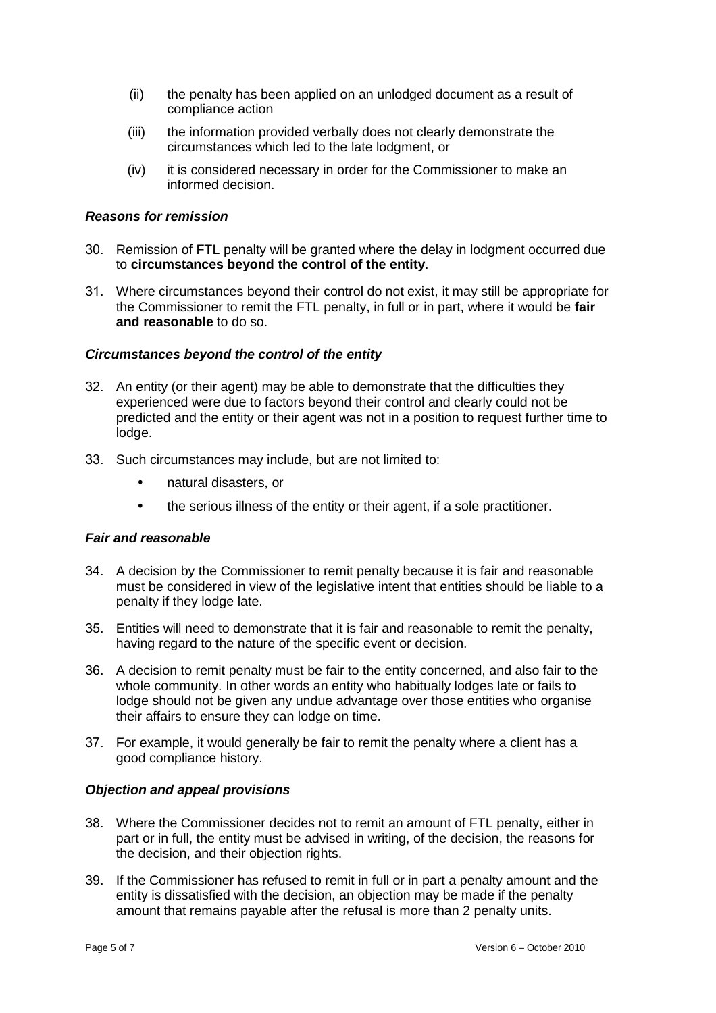- (ii) the penalty has been applied on an unlodged document as a result of compliance action
- (iii) the information provided verbally does not clearly demonstrate the circumstances which led to the late lodgment, or
- (iv) it is considered necessary in order for the Commissioner to make an informed decision.

#### **Reasons for remission**

- 30. Remission of FTL penalty will be granted where the delay in lodgment occurred due to **circumstances beyond the control of the entity**.
- 31. Where circumstances beyond their control do not exist, it may still be appropriate for the Commissioner to remit the FTL penalty, in full or in part, where it would be **fair and reasonable** to do so.

#### **Circumstances beyond the control of the entity**

- 32. An entity (or their agent) may be able to demonstrate that the difficulties they experienced were due to factors beyond their control and clearly could not be predicted and the entity or their agent was not in a position to request further time to lodge.
- 33. Such circumstances may include, but are not limited to:
	- natural disasters, or
	- the serious illness of the entity or their agent, if a sole practitioner.

#### **Fair and reasonable**

- 34. A decision by the Commissioner to remit penalty because it is fair and reasonable must be considered in view of the legislative intent that entities should be liable to a penalty if they lodge late.
- 35. Entities will need to demonstrate that it is fair and reasonable to remit the penalty, having regard to the nature of the specific event or decision.
- 36. A decision to remit penalty must be fair to the entity concerned, and also fair to the whole community. In other words an entity who habitually lodges late or fails to lodge should not be given any undue advantage over those entities who organise their affairs to ensure they can lodge on time.
- 37. For example, it would generally be fair to remit the penalty where a client has a good compliance history.

#### **Objection and appeal provisions**

- 38. Where the Commissioner decides not to remit an amount of FTL penalty, either in part or in full, the entity must be advised in writing, of the decision, the reasons for the decision, and their objection rights.
- 39. If the Commissioner has refused to remit in full or in part a penalty amount and the entity is dissatisfied with the decision, an objection may be made if the penalty amount that remains payable after the refusal is more than 2 penalty units.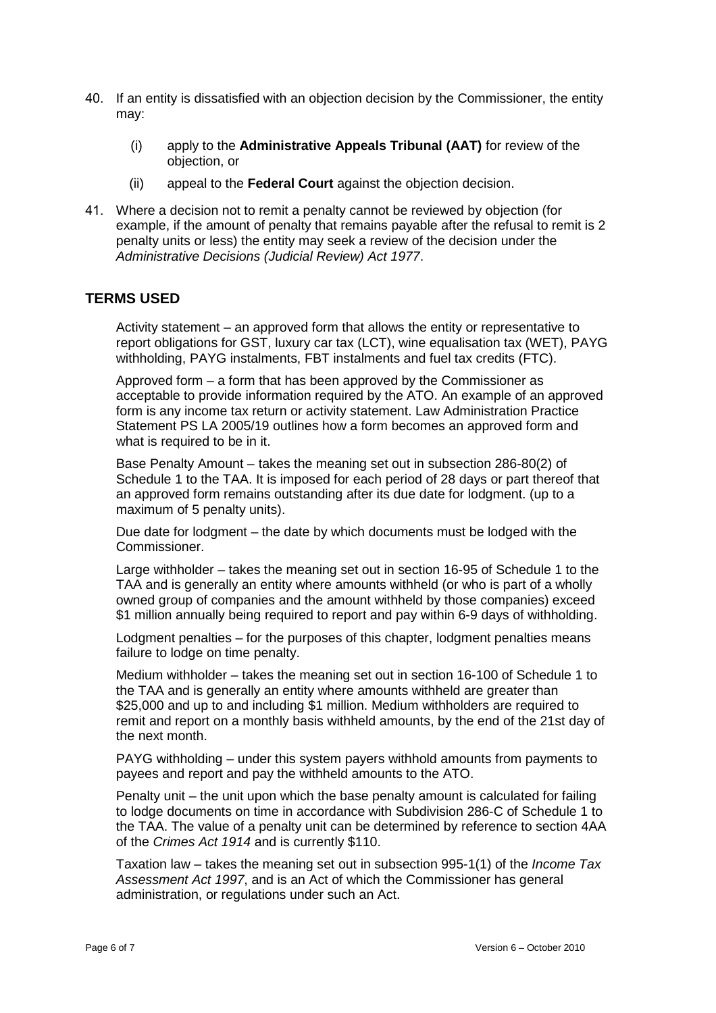- 40. If an entity is dissatisfied with an objection decision by the Commissioner, the entity may:
	- (i) apply to the **Administrative Appeals Tribunal (AAT)** for review of the objection, or
	- (ii) appeal to the **Federal Court** against the objection decision.
- 41. Where a decision not to remit a penalty cannot be reviewed by objection (for example, if the amount of penalty that remains payable after the refusal to remit is 2 penalty units or less) the entity may seek a review of the decision under the Administrative Decisions (Judicial Review) Act 1977.

### **TERMS USED**

Activity statement – an approved form that allows the entity or representative to report obligations for GST, luxury car tax (LCT), wine equalisation tax (WET), PAYG withholding, PAYG instalments, FBT instalments and fuel tax credits (FTC).

Approved form – a form that has been approved by the Commissioner as acceptable to provide information required by the ATO. An example of an approved form is any income tax return or activity statement. Law Administration Practice Statement PS LA 2005/19 outlines how a form becomes an approved form and what is required to be in it.

Base Penalty Amount – takes the meaning set out in subsection 286-80(2) of Schedule 1 to the TAA. It is imposed for each period of 28 days or part thereof that an approved form remains outstanding after its due date for lodgment. (up to a maximum of 5 penalty units).

Due date for lodgment – the date by which documents must be lodged with the Commissioner.

Large withholder – takes the meaning set out in section 16-95 of Schedule 1 to the TAA and is generally an entity where amounts withheld (or who is part of a wholly owned group of companies and the amount withheld by those companies) exceed \$1 million annually being required to report and pay within 6-9 days of withholding.

Lodgment penalties – for the purposes of this chapter, lodgment penalties means failure to lodge on time penalty.

Medium withholder – takes the meaning set out in section 16-100 of Schedule 1 to the TAA and is generally an entity where amounts withheld are greater than \$25,000 and up to and including \$1 million. Medium withholders are required to remit and report on a monthly basis withheld amounts, by the end of the 21st day of the next month.

PAYG withholding – under this system payers withhold amounts from payments to payees and report and pay the withheld amounts to the ATO.

Penalty unit – the unit upon which the base penalty amount is calculated for failing to lodge documents on time in accordance with Subdivision 286-C of Schedule 1 to the TAA. The value of a penalty unit can be determined by reference to section 4AA of the Crimes Act 1914 and is currently \$110.

Taxation law – takes the meaning set out in subsection 995-1(1) of the *Income Tax* Assessment Act 1997, and is an Act of which the Commissioner has general administration, or regulations under such an Act.